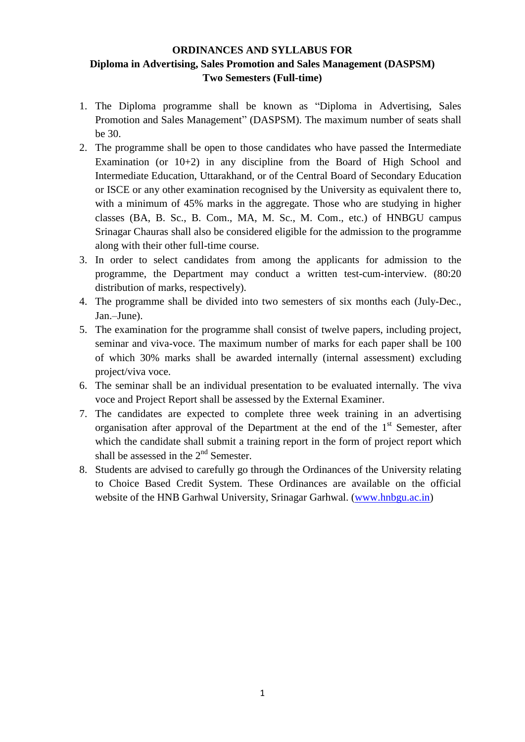# **ORDINANCES AND SYLLABUS FOR Diploma in Advertising, Sales Promotion and Sales Management (DASPSM) Two Semesters (Full-time)**

- 1. The Diploma programme shall be known as "Diploma in Advertising, Sales Promotion and Sales Management" (DASPSM). The maximum number of seats shall be 30.
- 2. The programme shall be open to those candidates who have passed the Intermediate Examination (or  $10+2$ ) in any discipline from the Board of High School and Intermediate Education, Uttarakhand, or of the Central Board of Secondary Education or ISCE or any other examination recognised by the University as equivalent there to, with a minimum of 45% marks in the aggregate. Those who are studying in higher classes (BA, B. Sc., B. Com., MA, M. Sc., M. Com., etc.) of HNBGU campus Srinagar Chauras shall also be considered eligible for the admission to the programme along with their other full-time course.
- 3. In order to select candidates from among the applicants for admission to the programme, the Department may conduct a written test-cum-interview. (80:20 distribution of marks, respectively).
- 4. The programme shall be divided into two semesters of six months each (July-Dec., Jan.–June).
- 5. The examination for the programme shall consist of twelve papers, including project, seminar and viva-voce. The maximum number of marks for each paper shall be 100 of which 30% marks shall be awarded internally (internal assessment) excluding project/viva voce.
- 6. The seminar shall be an individual presentation to be evaluated internally. The viva voce and Project Report shall be assessed by the External Examiner.
- 7. The candidates are expected to complete three week training in an advertising organisation after approval of the Department at the end of the  $1<sup>st</sup>$  Semester, after which the candidate shall submit a training report in the form of project report which shall be assessed in the  $2<sup>nd</sup>$  Semester.
- 8. Students are advised to carefully go through the Ordinances of the University relating to Choice Based Credit System. These Ordinances are available on the official website of the HNB Garhwal University, Srinagar Garhwal. [\(www.hnbgu.ac.in\)](http://www.hnbgu.ac.in/)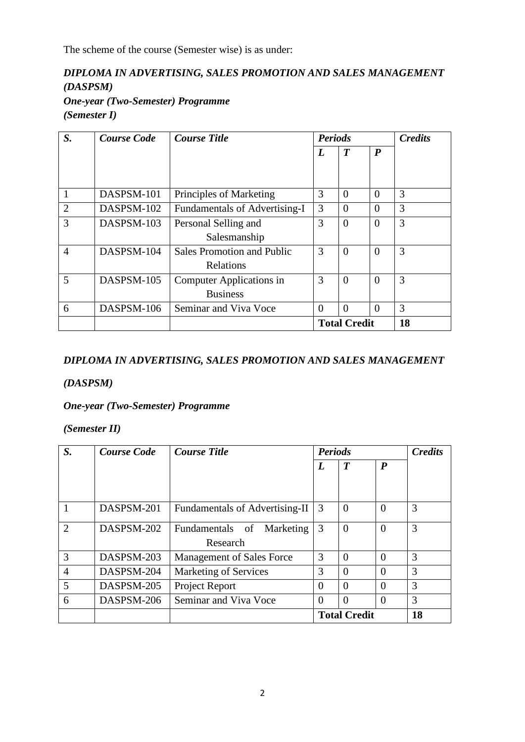The scheme of the course (Semester wise) is as under:

# *DIPLOMA IN ADVERTISING, SALES PROMOTION AND SALES MANAGEMENT (DASPSM)*

*One-year (Two-Semester) Programme (Semester I)*

| S.             | <b>Course Code</b> | <b>Course Title</b>               | <b>Periods</b>      |                  |                  | <b>Credits</b> |  |
|----------------|--------------------|-----------------------------------|---------------------|------------------|------------------|----------------|--|
|                |                    |                                   | L                   | $\boldsymbol{T}$ | $\boldsymbol{P}$ |                |  |
|                |                    |                                   |                     |                  |                  |                |  |
| $\mathbf{1}$   | DASPSM-101         | Principles of Marketing           | 3                   | $\Omega$         | $\theta$         | 3              |  |
| $\overline{2}$ | DASPSM-102         | Fundamentals of Advertising-I     | 3                   | $\Omega$         | $\Omega$         | 3              |  |
| 3              | DASPSM-103         | Personal Selling and              | 3                   | $\Omega$         | $\theta$         | 3              |  |
|                |                    | Salesmanship                      |                     |                  |                  |                |  |
| $\overline{4}$ | DASPSM-104         | <b>Sales Promotion and Public</b> | 3                   | $\Omega$         | $\theta$         | 3              |  |
|                |                    | Relations                         |                     |                  |                  |                |  |
| 5              | DASPSM-105         | Computer Applications in          | 3                   | $\Omega$         | $\overline{0}$   | 3              |  |
|                |                    | <b>Business</b>                   |                     |                  |                  |                |  |
| 6              | DASPSM-106         | Seminar and Viva Voce             | $\Omega$            | $\Omega$         | $\Omega$         | 3              |  |
|                |                    |                                   | <b>Total Credit</b> |                  |                  | 18             |  |

# *DIPLOMA IN ADVERTISING, SALES PROMOTION AND SALES MANAGEMENT*

# *(DASPSM)*

# *One-year (Two-Semester) Programme*

## *(Semester II)*

| S.             | <b>Course Code</b> | <b>Course Title</b>            | <b>Periods</b>      |                  |                  | <b>Credits</b> |
|----------------|--------------------|--------------------------------|---------------------|------------------|------------------|----------------|
|                |                    |                                | L                   | $\boldsymbol{T}$ | $\boldsymbol{P}$ |                |
|                |                    |                                |                     |                  |                  |                |
|                |                    |                                |                     |                  |                  |                |
|                | DASPSM-201         | Fundamentals of Advertising-II | 3                   | $\Omega$         | $\theta$         | 3              |
| $\overline{2}$ | DASPSM-202         | Fundamentals of Marketing      | 3                   | $\Omega$         | $\Omega$         | 3              |
|                |                    | Research                       |                     |                  |                  |                |
| 3              | DASPSM-203         | Management of Sales Force      | 3                   | $\Omega$         | $\Omega$         | 3              |
| $\overline{4}$ | DASPSM-204         | <b>Marketing of Services</b>   | 3                   | $\theta$         | $\Omega$         | 3              |
| 5              | DASPSM-205         | Project Report                 | $\Omega$            | $\theta$         | $\theta$         | 3              |
| 6              | DASPSM-206         | Seminar and Viva Voce          | $\Omega$            | $\Omega$         | $\theta$         | 3              |
|                |                    |                                | <b>Total Credit</b> |                  | 18               |                |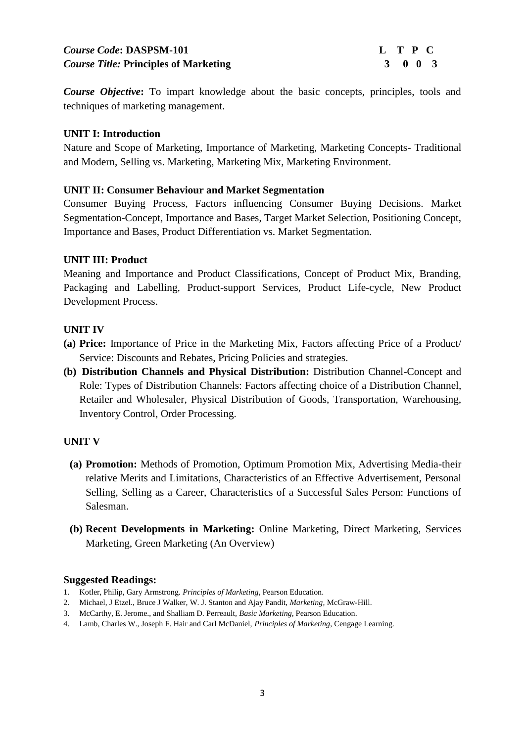# *Course Code*: DASPSM-101 **L** T P C *Course Title:* **Principles of Marketing 3 0 0 3**

*Course Objective***:** To impart knowledge about the basic concepts, principles, tools and techniques of marketing management.

## **UNIT I: Introduction**

Nature and Scope of Marketing, Importance of Marketing, Marketing Concepts- Traditional and Modern, Selling vs. Marketing, Marketing Mix, Marketing Environment.

## **UNIT II: Consumer Behaviour and Market Segmentation**

Consumer Buying Process, Factors influencing Consumer Buying Decisions. Market Segmentation-Concept, Importance and Bases, Target Market Selection, Positioning Concept, Importance and Bases, Product Differentiation vs. Market Segmentation.

## **UNIT III: Product**

Meaning and Importance and Product Classifications, Concept of Product Mix, Branding, Packaging and Labelling, Product-support Services, Product Life-cycle, New Product Development Process.

#### **UNIT IV**

- **(a) Price:** Importance of Price in the Marketing Mix, Factors affecting Price of a Product/ Service: Discounts and Rebates, Pricing Policies and strategies.
- **(b) Distribution Channels and Physical Distribution:** Distribution Channel-Concept and Role: Types of Distribution Channels: Factors affecting choice of a Distribution Channel, Retailer and Wholesaler, Physical Distribution of Goods, Transportation, Warehousing, Inventory Control, Order Processing.

## **UNIT V**

- **(a) Promotion:** Methods of Promotion, Optimum Promotion Mix, Advertising Media-their relative Merits and Limitations, Characteristics of an Effective Advertisement, Personal Selling, Selling as a Career, Characteristics of a Successful Sales Person: Functions of Salesman.
- **(b) Recent Developments in Marketing:** Online Marketing, Direct Marketing, Services Marketing, Green Marketing (An Overview)

- 1. Kotler, Philip, Gary Armstrong*. Principles of Marketing,* Pearson Education.
- 2. Michael, J Etzel., Bruce J Walker, W. J. Stanton and Ajay Pandit, *Marketing,* McGraw-Hill.
- 3. McCarthy, E. Jerome., and Shalliam D. Perreault, *Basic Marketing*, Pearson Education.
- 4. Lamb, Charles W., Joseph F. Hair and Carl McDaniel, *Principles of Marketing*, Cengage Learning.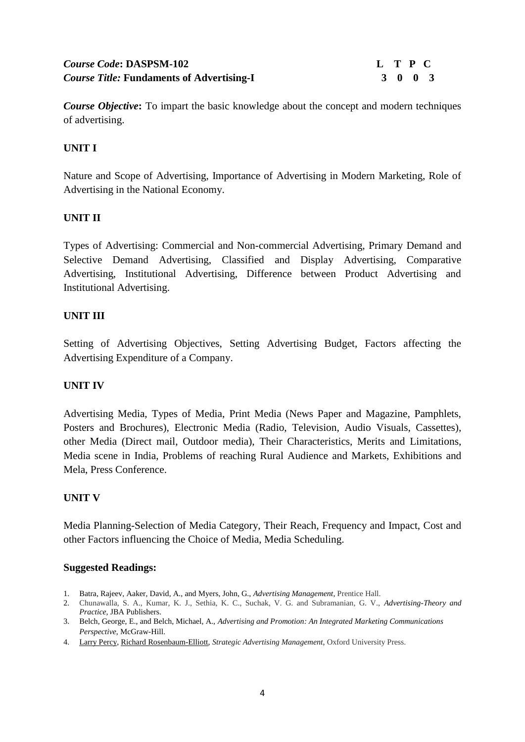# *Course Code***: DASPSM-102 L T P C**  *Course Title:* Fundaments of Advertising-I 3 0 3

*Course Objective***:** To impart the basic knowledge about the concept and modern techniques of advertising.

# **UNIT I**

Nature and Scope of Advertising, Importance of Advertising in Modern Marketing, Role of Advertising in the National Economy.

## **UNIT II**

Types of Advertising: Commercial and Non-commercial Advertising, Primary Demand and Selective Demand Advertising, Classified and Display Advertising, Comparative Advertising, Institutional Advertising, Difference between Product Advertising and Institutional Advertising.

#### **UNIT III**

Setting of Advertising Objectives, Setting Advertising Budget, Factors affecting the Advertising Expenditure of a Company.

#### **UNIT IV**

Advertising Media, Types of Media, Print Media (News Paper and Magazine, Pamphlets, Posters and Brochures), Electronic Media (Radio, Television, Audio Visuals, Cassettes), other Media (Direct mail, Outdoor media), Their Characteristics, Merits and Limitations, Media scene in India, Problems of reaching Rural Audience and Markets, Exhibitions and Mela, Press Conference.

#### **UNIT V**

Media Planning-Selection of Media Category, Their Reach, Frequency and Impact, Cost and other Factors influencing the Choice of Media, Media Scheduling.

- 1. Batra, Rajeev, Aaker, David, A., and Myers, John, G., *Advertising Management*, Prentice Hall.
- 2. Chunawalla, S. A., Kumar, K. J., Sethia, K. C., Suchak, V. G. and Subramanian, G. V., *Advertising-Theory and Practice,* JBA Publishers.
- 3. Belch, George, E., and Belch, Michael, A., *Advertising and Promotion: An Integrated Marketing Communications Perspective*, McGraw-Hill.
- 4. [Larry Percy,](http://www.amazon.com/Larry-Percy/e/B000APFK0K/ref=dp_byline_cont_book_1) [Richard Rosenbaum-Elliott,](http://www.amazon.com/s/ref=dp_byline_sr_book_2?ie=UTF8&field-author=Richard+Rosenbaum-Elliott&search-alias=books&text=Richard+Rosenbaum-Elliott&sort=relevancerank) *Strategic Advertising Management*, Oxford University Press.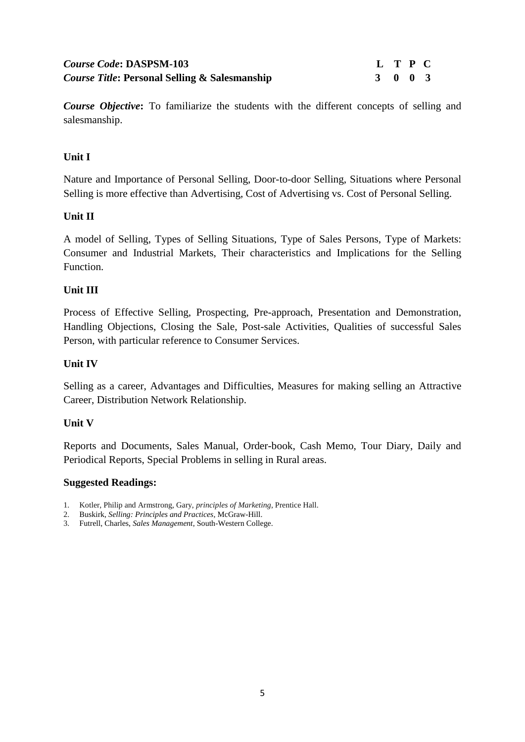# *Course Code***: DASPSM-103 L T P C**  *Course Title***: Personal Selling & Salesmanship 3 0 0 3**

*Course Objective***:** To familiarize the students with the different concepts of selling and salesmanship.

## **Unit I**

Nature and Importance of Personal Selling, Door-to-door Selling, Situations where Personal Selling is more effective than Advertising, Cost of Advertising vs. Cost of Personal Selling.

#### **Unit II**

A model of Selling, Types of Selling Situations, Type of Sales Persons, Type of Markets: Consumer and Industrial Markets, Their characteristics and Implications for the Selling Function.

#### **Unit III**

Process of Effective Selling, Prospecting, Pre-approach, Presentation and Demonstration, Handling Objections, Closing the Sale, Post-sale Activities, Qualities of successful Sales Person, with particular reference to Consumer Services.

#### **Unit IV**

Selling as a career, Advantages and Difficulties, Measures for making selling an Attractive Career, Distribution Network Relationship.

#### **Unit V**

Reports and Documents, Sales Manual, Order-book, Cash Memo, Tour Diary, Daily and Periodical Reports, Special Problems in selling in Rural areas.

- 1. Kotler, Philip and Armstrong, Gary, *principles of Marketing*, Prentice Hall.
- 2. Buskirk, *Selling: Principles and Practices*, McGraw-Hill.
- 3. Futrell, Charles, *Sales Management*, South-Western College.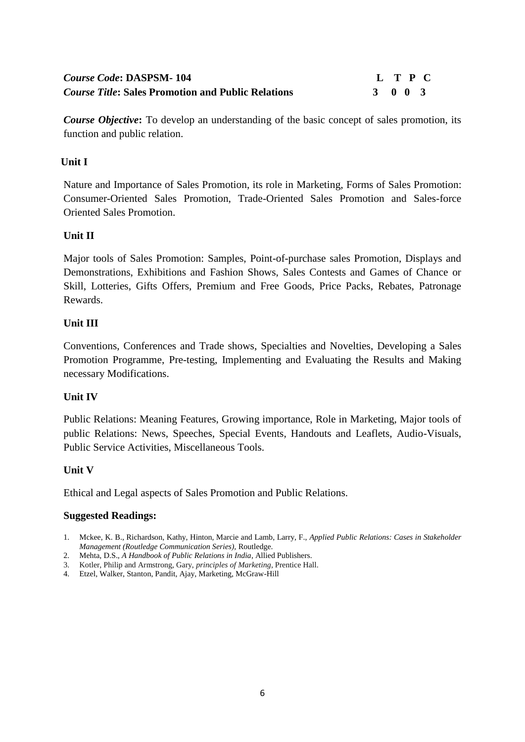# *Course Code***: DASPSM- 104 L T P C**  *Course Title***: Sales Promotion and Public Relations 3 0 0 3**

*Course Objective***:** To develop an understanding of the basic concept of sales promotion, its function and public relation.

## **Unit I**

Nature and Importance of Sales Promotion, its role in Marketing, Forms of Sales Promotion: Consumer-Oriented Sales Promotion, Trade-Oriented Sales Promotion and Sales-force Oriented Sales Promotion.

## **Unit II**

Major tools of Sales Promotion: Samples, Point-of-purchase sales Promotion, Displays and Demonstrations, Exhibitions and Fashion Shows, Sales Contests and Games of Chance or Skill, Lotteries, Gifts Offers, Premium and Free Goods, Price Packs, Rebates, Patronage Rewards.

#### **Unit III**

Conventions, Conferences and Trade shows, Specialties and Novelties, Developing a Sales Promotion Programme, Pre-testing, Implementing and Evaluating the Results and Making necessary Modifications.

## **Unit IV**

Public Relations: Meaning Features, Growing importance, Role in Marketing, Major tools of public Relations: News, Speeches, Special Events, Handouts and Leaflets, Audio-Visuals, Public Service Activities, Miscellaneous Tools.

#### **Unit V**

Ethical and Legal aspects of Sales Promotion and Public Relations.

- 1. Mckee, K. B., Richardson, Kathy, Hinton, Marcie and Lamb, Larry, F., *Applied Public Relations: Cases in Stakeholder Management (Routledge Communication Series),* Routledge.
- 2. Mehta, D.S., *A Handbook of Public Relations in India*, Allied Publishers.
- 3. Kotler, Philip and Armstrong, Gary, *principles of Marketing*, Prentice Hall.
- 4. Etzel, Walker, Stanton, Pandit, Ajay, Marketing, McGraw-Hill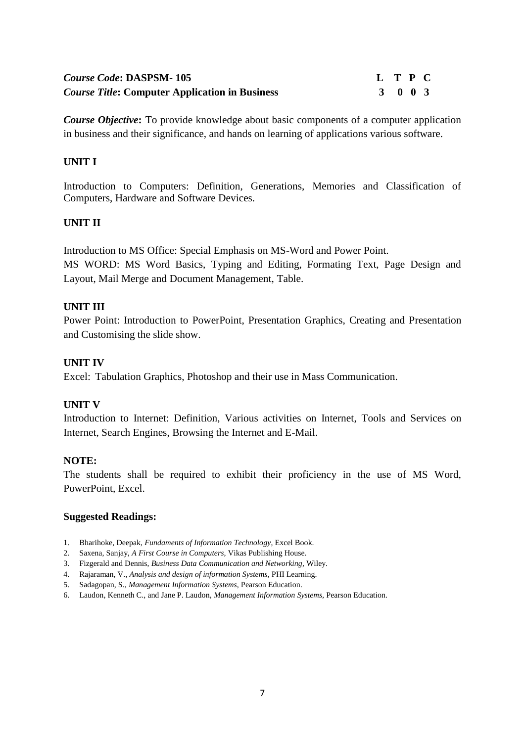| <b>Course Code: DASPSM-105</b>                        | L T P C |         |  |
|-------------------------------------------------------|---------|---------|--|
| <b>Course Title: Computer Application in Business</b> |         | 3 0 0 3 |  |

*Course Objective***:** To provide knowledge about basic components of a computer application in business and their significance, and hands on learning of applications various software.

#### **UNIT I**

Introduction to Computers: Definition, Generations, Memories and Classification of Computers, Hardware and Software Devices.

#### **UNIT II**

Introduction to MS Office: Special Emphasis on MS-Word and Power Point. MS WORD: MS Word Basics, Typing and Editing, Formating Text, Page Design and Layout, Mail Merge and Document Management, Table.

#### **UNIT III**

Power Point: Introduction to PowerPoint, Presentation Graphics, Creating and Presentation and Customising the slide show.

#### **UNIT IV**

Excel: Tabulation Graphics, Photoshop and their use in Mass Communication.

#### **UNIT V**

Introduction to Internet: Definition, Various activities on Internet, Tools and Services on Internet, Search Engines, Browsing the Internet and E-Mail.

#### **NOTE:**

The students shall be required to exhibit their proficiency in the use of MS Word, PowerPoint, Excel.

- 1. Bharihoke, Deepak, *Fundaments of Information Technology*, Excel Book.
- 2. Saxena, Sanjay, *A First Course in Computers,* Vikas Publishing House.
- 3. Fizgerald and Dennis, *Business Data Communication and Networking,* Wiley.
- 4. Rajaraman, V., *Analysis and design of information Systems,* PHI Learning.
- 5. Sadagopan, S., *Management Information Systems,* Pearson Education.
- 6. Laudon, Kenneth C., and Jane P. Laudon, *Management Information Systems,* Pearson Education.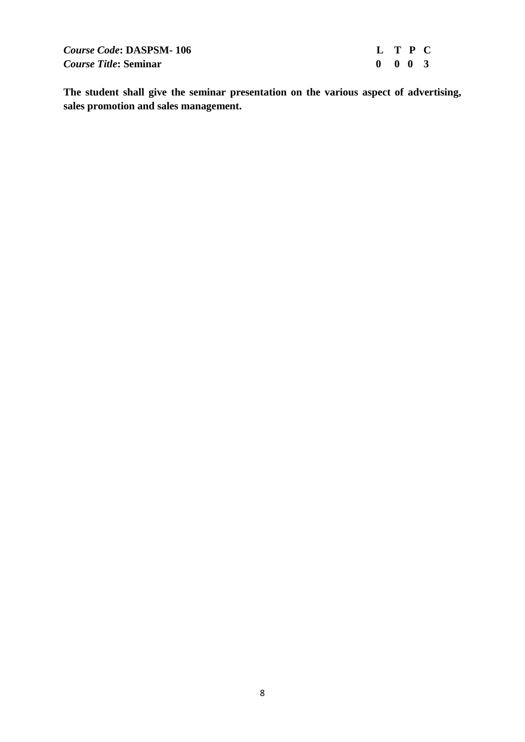*Course Code***: DASPSM- 106 L T P C**  *Course Title***:** Seminar 0 0 0 3

**The student shall give the seminar presentation on the various aspect of advertising, sales promotion and sales management.**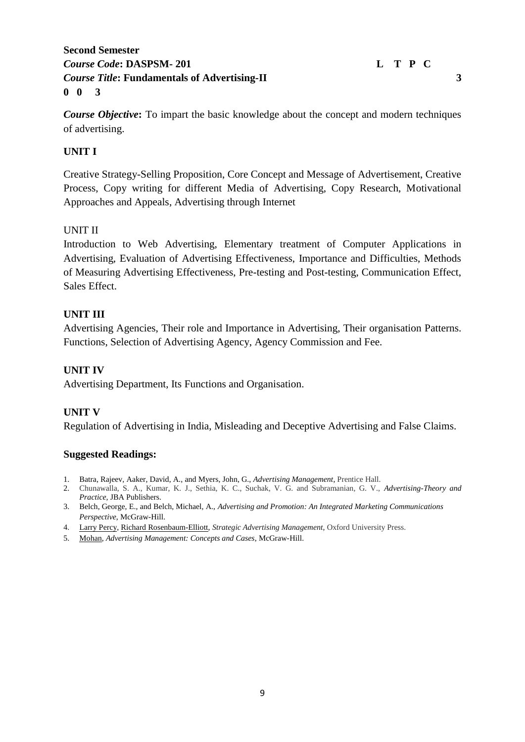# **Second Semester** *Course Code***: DASPSM-** 201 L T P C *Course Title***: Fundamentals of Advertising-II 3 0 0 3**

*Course Objective***:** To impart the basic knowledge about the concept and modern techniques of advertising.

# **UNIT I**

Creative Strategy-Selling Proposition, Core Concept and Message of Advertisement, Creative Process, Copy writing for different Media of Advertising, Copy Research, Motivational Approaches and Appeals, Advertising through Internet

## UNIT II

Introduction to Web Advertising, Elementary treatment of Computer Applications in Advertising, Evaluation of Advertising Effectiveness, Importance and Difficulties, Methods of Measuring Advertising Effectiveness, Pre-testing and Post-testing, Communication Effect, Sales Effect.

## **UNIT III**

Advertising Agencies, Their role and Importance in Advertising, Their organisation Patterns. Functions, Selection of Advertising Agency, Agency Commission and Fee.

## **UNIT IV**

Advertising Department, Its Functions and Organisation.

## **UNIT V**

Regulation of Advertising in India, Misleading and Deceptive Advertising and False Claims.

- 1. Batra, Rajeev, Aaker, David, A., and Myers, John, G., *Advertising Management*, Prentice Hall.
- 2. Chunawalla, S. A., Kumar, K. J., Sethia, K. C., Suchak, V. G. and Subramanian, G. V., *Advertising-Theory and Practice,* JBA Publishers.
- 3. Belch, George, E., and Belch, Michael, A., *Advertising and Promotion: An Integrated Marketing Communications Perspective*, McGraw-Hill.
- 4. [Larry Percy,](http://www.amazon.com/Larry-Percy/e/B000APFK0K/ref=dp_byline_cont_book_1) [Richard Rosenbaum-Elliott,](http://www.amazon.com/s/ref=dp_byline_sr_book_2?ie=UTF8&field-author=Richard+Rosenbaum-Elliott&search-alias=books&text=Richard+Rosenbaum-Elliott&sort=relevancerank) *Strategic Advertising Management*, Oxford University Press.
- 5. [Mohan,](http://www.amazon.com/s/ref=dp_byline_sr_book_1?ie=UTF8&field-author=Mohan&search-alias=books&text=Mohan&sort=relevancerank) *Advertising Management: Concepts and Cases*, McGraw-Hill.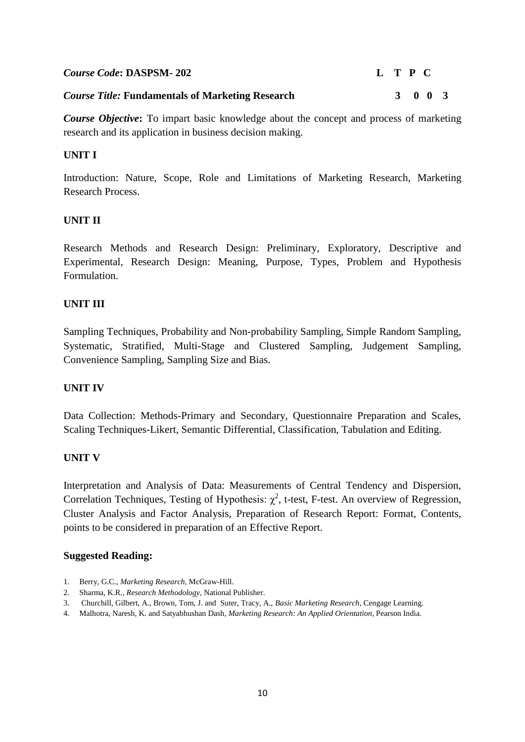| <b>Course Code: DASPSM-202</b>                          | L T P C |         |  |
|---------------------------------------------------------|---------|---------|--|
| <b>Course Title: Fundamentals of Marketing Research</b> |         | 3 0 0 3 |  |

*Course Objective***:** To impart basic knowledge about the concept and process of marketing research and its application in business decision making.

#### **UNIT I**

Introduction: Nature, Scope, Role and Limitations of Marketing Research, Marketing Research Process.

#### **UNIT II**

Research Methods and Research Design: Preliminary, Exploratory, Descriptive and Experimental, Research Design: Meaning, Purpose, Types, Problem and Hypothesis Formulation.

#### **UNIT III**

Sampling Techniques, Probability and Non-probability Sampling, Simple Random Sampling, Systematic, Stratified, Multi-Stage and Clustered Sampling, Judgement Sampling, Convenience Sampling, Sampling Size and Bias.

#### **UNIT IV**

Data Collection: Methods-Primary and Secondary, Questionnaire Preparation and Scales, Scaling Techniques-Likert, Semantic Differential, Classification, Tabulation and Editing.

#### **UNIT V**

Interpretation and Analysis of Data: Measurements of Central Tendency and Dispersion, Correlation Techniques, Testing of Hypothesis:  $\chi^2$ , t-test, F-test. An overview of Regression, Cluster Analysis and Factor Analysis, Preparation of Research Report: Format, Contents, points to be considered in preparation of an Effective Report.

- 1. Berry, G.C., *Marketing Research,* McGraw-Hill.
- 2. Sharma, K.R., *Research Methodology*, National Publisher.
- 3. Churchill, Gilbert, A., Brown, Tom, J. and Suter, Tracy, A., *Basic Marketing Research*, Cengage Learning.
- 4. Malhotra, Naresh, K. and Satyabhushan Dash, *Marketing Research: An Applied Orientation*, Pearson India.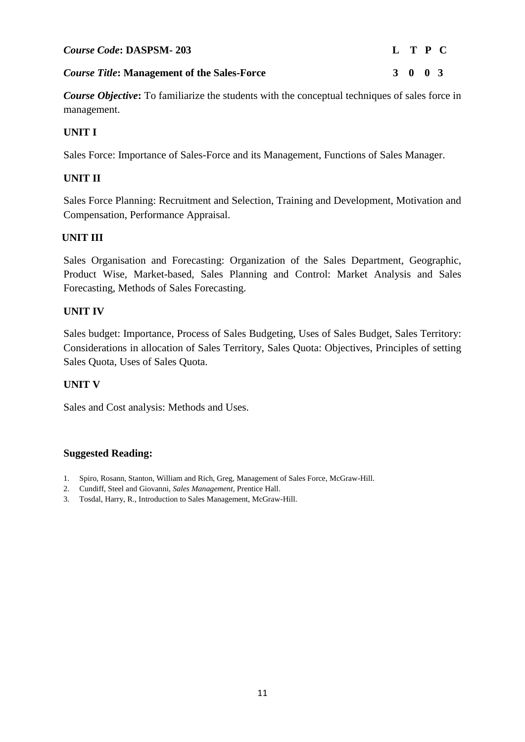#### *Course Title***: Management of the Sales-Force 3 0 0 3**

*Course Objective***:** To familiarize the students with the conceptual techniques of sales force in management.

## **UNIT I**

Sales Force: Importance of Sales-Force and its Management, Functions of Sales Manager.

## **UNIT II**

 Sales Force Planning: Recruitment and Selection, Training and Development, Motivation and Compensation, Performance Appraisal.

## **UNIT III**

Sales Organisation and Forecasting: Organization of the Sales Department, Geographic, Product Wise, Market-based, Sales Planning and Control: Market Analysis and Sales Forecasting, Methods of Sales Forecasting.

## **UNIT IV**

Sales budget: Importance, Process of Sales Budgeting, Uses of Sales Budget, Sales Territory: Considerations in allocation of Sales Territory, Sales Quota: Objectives, Principles of setting Sales Quota, Uses of Sales Quota.

## **UNIT V**

Sales and Cost analysis: Methods and Uses.

- 1. Spiro, Rosann, Stanton, William and Rich, Greg, Management of Sales Force, McGraw-Hill.
- 2. Cundiff, Steel and Giovanni, *Sales Management*, Prentice Hall.
- 3. Tosdal, Harry, R., Introduction to Sales Management, McGraw-Hill.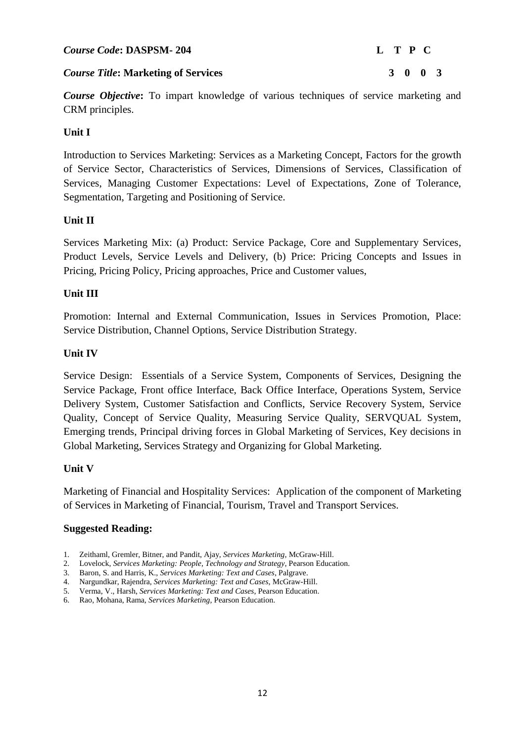#### *Course Code***: DASPSM- 204 L T P C**

## *Course Title***: Marketing of Services 3 0 0 3**

*Course Objective***:** To impart knowledge of various techniques of service marketing and CRM principles.

# **Unit I**

Introduction to Services Marketing: Services as a Marketing Concept, Factors for the growth of Service Sector, Characteristics of Services, Dimensions of Services, Classification of Services, Managing Customer Expectations: Level of Expectations, Zone of Tolerance, Segmentation, Targeting and Positioning of Service.

## **Unit II**

Services Marketing Mix: (a) Product: Service Package, Core and Supplementary Services, Product Levels, Service Levels and Delivery, (b) Price: Pricing Concepts and Issues in Pricing, Pricing Policy, Pricing approaches, Price and Customer values,

## **Unit III**

Promotion: Internal and External Communication, Issues in Services Promotion, Place: Service Distribution, Channel Options, Service Distribution Strategy.

## **Unit IV**

Service Design: Essentials of a Service System, Components of Services, Designing the Service Package, Front office Interface, Back Office Interface, Operations System, Service Delivery System, Customer Satisfaction and Conflicts, Service Recovery System, Service Quality, Concept of Service Quality, Measuring Service Quality, SERVQUAL System, Emerging trends, Principal driving forces in Global Marketing of Services, Key decisions in Global Marketing, Services Strategy and Organizing for Global Marketing.

## **Unit V**

Marketing of Financial and Hospitality Services: Application of the component of Marketing of Services in Marketing of Financial, Tourism, Travel and Transport Services.

- 1. Zeithaml, Gremler, Bitner, and Pandit, Ajay, *Services Marketing*, McGraw-Hill.
- 2. Lovelock, *Services Marketing: People, Technology and Strategy*, Pearson Education.
- 3. Baron, S. and Harris, K., *Services Marketing: Text and Cases*, Palgrave.
- 4. Nargundkar, Rajendra*, Services Marketing: Text and Cases*, McGraw-Hill.
- 5. Verma, V., Harsh, *Services Marketing: Text and Cases*, Pearson Education.
- 6. Rao, Mohana, Rama, *Services Marketing,* Pearson Education.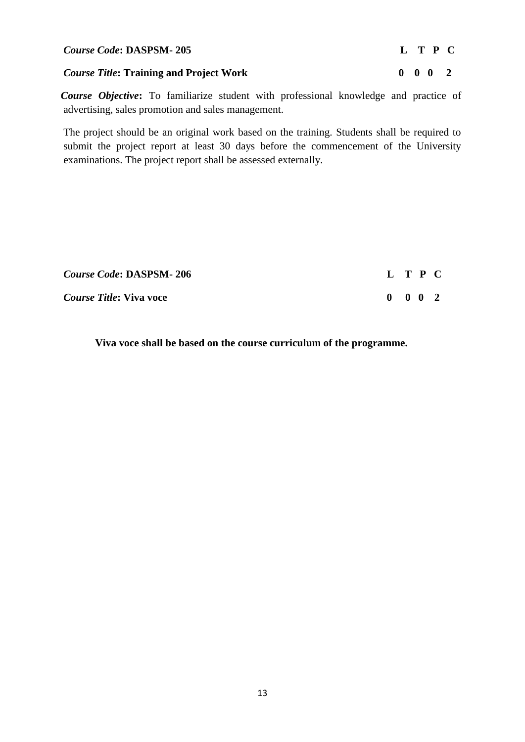#### *Course Code***: DASPSM- 205 L T P C**

#### *Course Title***:** Training and Project Work 0 0 0 2

*Course Objective***:** To familiarize student with professional knowledge and practice of advertising, sales promotion and sales management.

The project should be an original work based on the training. Students shall be required to submit the project report at least 30 days before the commencement of the University examinations. The project report shall be assessed externally.

| <b>Course Code: DASPSM-206</b> | L T P C                     |  |  |
|--------------------------------|-----------------------------|--|--|
| <i>Course Title:</i> Viva voce | $0 \quad 0 \quad 0 \quad 2$ |  |  |

**Viva voce shall be based on the course curriculum of the programme.**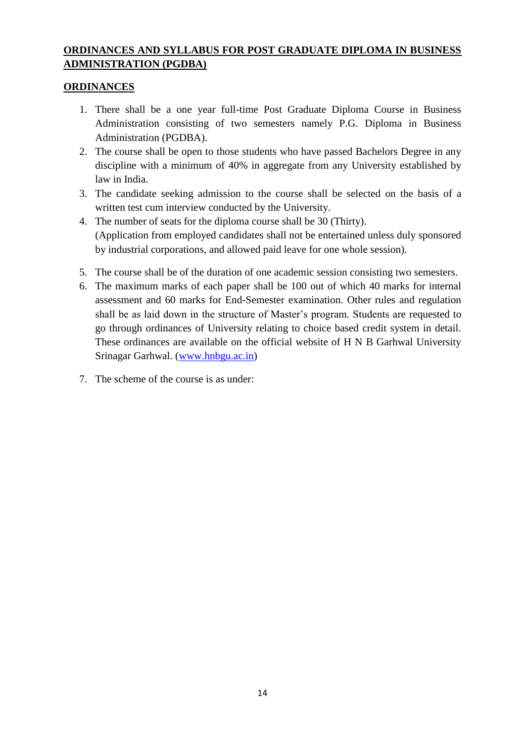# **ORDINANCES AND SYLLABUS FOR POST GRADUATE DIPLOMA IN BUSINESS ADMINISTRATION (PGDBA)**

# **ORDINANCES**

- 1. There shall be a one year full-time Post Graduate Diploma Course in Business Administration consisting of two semesters namely P.G. Diploma in Business Administration (PGDBA).
- 2. The course shall be open to those students who have passed Bachelors Degree in any discipline with a minimum of 40% in aggregate from any University established by law in India.
- 3. The candidate seeking admission to the course shall be selected on the basis of a written test cum interview conducted by the University.
- 4. The number of seats for the diploma course shall be 30 (Thirty). (Application from employed candidates shall not be entertained unless duly sponsored by industrial corporations, and allowed paid leave for one whole session).
- 5. The course shall be of the duration of one academic session consisting two semesters.
- 6. The maximum marks of each paper shall be 100 out of which 40 marks for internal assessment and 60 marks for End-Semester examination. Other rules and regulation shall be as laid down in the structure of Master's program. Students are requested to go through ordinances of University relating to choice based credit system in detail. These ordinances are available on the official website of H N B Garhwal University Srinagar Garhwal. [\(www.hnbgu.ac.in\)](http://www.hnbgu.ac.in/)
- 7. The scheme of the course is as under: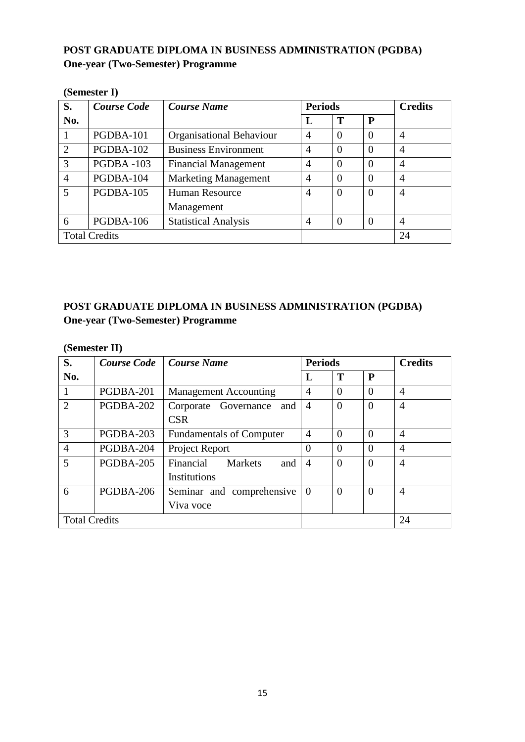# **POST GRADUATE DIPLOMA IN BUSINESS ADMINISTRATION (PGDBA) One-year (Two-Semester) Programme**

| (DCIIICSICI 1)       |                    |                                 |                |                |                |                |  |  |
|----------------------|--------------------|---------------------------------|----------------|----------------|----------------|----------------|--|--|
| S.                   | <b>Course Code</b> | <b>Course Name</b>              | <b>Periods</b> |                | <b>Credits</b> |                |  |  |
| No.                  |                    |                                 | L              | T              | P              |                |  |  |
|                      | PGDBA-101          | <b>Organisational Behaviour</b> | $\overline{4}$ | $\Omega$       | $\Omega$       | $\overline{4}$ |  |  |
| $\overline{2}$       | PGDBA-102          | <b>Business Environment</b>     | $\overline{4}$ | $\Omega$       | $\theta$       | $\overline{A}$ |  |  |
| 3                    | PGDBA-103          | <b>Financial Management</b>     | $\overline{A}$ | $\Omega$       | $\theta$       | $\overline{A}$ |  |  |
| 4                    | PGDBA-104          | <b>Marketing Management</b>     | $\overline{4}$ | $\Omega$       | $\Omega$       | $\overline{4}$ |  |  |
| 5                    | PGDBA-105          | <b>Human Resource</b>           | $\overline{4}$ | $\theta$       | $\Omega$       | 4              |  |  |
|                      |                    | Management                      |                |                |                |                |  |  |
| 6                    | PGDBA-106          | <b>Statistical Analysis</b>     | $\overline{A}$ | $\overline{0}$ |                | $\overline{A}$ |  |  |
| <b>Total Credits</b> |                    |                                 |                |                |                | 24             |  |  |

**(Semester I)**

# **POST GRADUATE DIPLOMA IN BUSINESS ADMINISTRATION (PGDBA) One-year (Two-Semester) Programme**

#### **(Semester II)**

| S.                   | <b>Course Code</b> | Course Name                        | <b>Periods</b> |                |                | <b>Credits</b> |
|----------------------|--------------------|------------------------------------|----------------|----------------|----------------|----------------|
| No.                  |                    |                                    | L              | T              | P              |                |
| 1                    | PGDBA-201          | <b>Management Accounting</b>       | $\overline{A}$ | $\Omega$       | $\Omega$       | $\overline{4}$ |
| $\overline{2}$       | PGDBA-202          | Corporate Governance and           | $\overline{4}$ | $\overline{0}$ | $\Omega$       | $\overline{4}$ |
|                      |                    | <b>CSR</b>                         |                |                |                |                |
| 3                    | PGDBA-203          | <b>Fundamentals of Computer</b>    | 4              | $\Omega$       | $\Omega$       | $\overline{4}$ |
| $\overline{4}$       | PGDBA-204          | Project Report                     | $\Omega$       | $\Omega$       | $\Omega$       | $\overline{A}$ |
| 5                    | PGDBA-205          | Financial<br><b>Markets</b><br>and | $\overline{4}$ | $\theta$       | $\overline{0}$ | 4              |
|                      |                    | Institutions                       |                |                |                |                |
| 6                    | PGDBA-206          | Seminar and comprehensive          | $\theta$       | $\overline{0}$ | $\overline{0}$ | $\overline{4}$ |
|                      |                    | Viva voce                          |                |                |                |                |
| <b>Total Credits</b> |                    |                                    |                |                |                | 24             |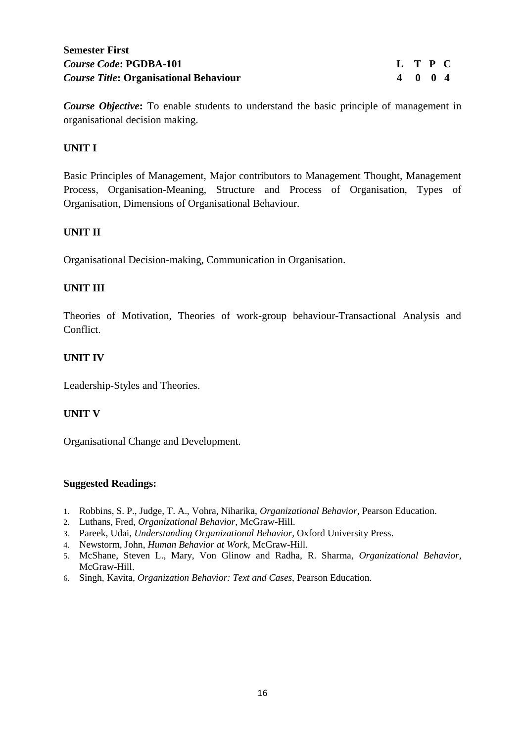# **Semester First** *Course Code***: PGDBA-101 L T P C** *Course Title***:** Organisational Behaviour 4 0 0 4

*Course Objective***:** To enable students to understand the basic principle of management in organisational decision making.

## **UNIT I**

Basic Principles of Management, Major contributors to Management Thought, Management Process, Organisation-Meaning, Structure and Process of Organisation, Types of Organisation, Dimensions of Organisational Behaviour.

## **UNIT II**

Organisational Decision-making, Communication in Organisation.

## **UNIT III**

Theories of Motivation, Theories of work-group behaviour-Transactional Analysis and Conflict.

#### **UNIT IV**

Leadership-Styles and Theories.

#### **UNIT V**

Organisational Change and Development.

- 1. Robbins, S. P., Judge, T. A., Vohra, Niharika, *Organizational Behavior*, Pearson Education.
- 2. Luthans, Fred, *Organizational Behavior,* McGraw-Hill.
- 3. Pareek, Udai, *Understanding Organizational Behavior*, Oxford University Press.
- 4. Newstorm, John, *Human Behavior at Work*, McGraw-Hill.
- 5. McShane, Steven L., Mary, Von Glinow and Radha, R. Sharma*, Organizational Behavior*, McGraw-Hill.
- 6. Singh, Kavita, *Organization Behavior: Text and Cases*, Pearson Education.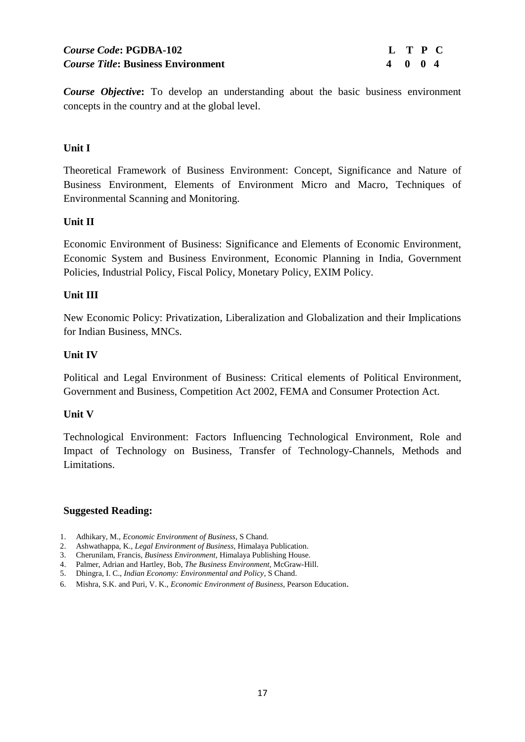# *Course Code***: PGDBA-102 L T P C** *Course Title***: Business Environment 4 0 0 4**

*Course Objective***:** To develop an understanding about the basic business environment concepts in the country and at the global level.

## **Unit I**

Theoretical Framework of Business Environment: Concept, Significance and Nature of Business Environment, Elements of Environment Micro and Macro, Techniques of Environmental Scanning and Monitoring.

#### **Unit II**

Economic Environment of Business: Significance and Elements of Economic Environment, Economic System and Business Environment, Economic Planning in India, Government Policies, Industrial Policy, Fiscal Policy, Monetary Policy, EXIM Policy.

#### **Unit III**

New Economic Policy: Privatization, Liberalization and Globalization and their Implications for Indian Business, MNCs.

#### **Unit IV**

Political and Legal Environment of Business: Critical elements of Political Environment, Government and Business, Competition Act 2002, FEMA and Consumer Protection Act.

#### **Unit V**

Technological Environment: Factors Influencing Technological Environment, Role and Impact of Technology on Business, Transfer of Technology-Channels, Methods and Limitations.

- 1. Adhikary, M., *Economic Environment of Business*, S Chand.
- 2. Ashwathappa, K., *Legal Environment of Business*, Himalaya Publication.
- 3. Cherunilam, Francis*, Business Environment,* Himalaya Publishing House.
- 4. Palmer, Adrian and Hartley, Bob, *The Business Environment*, McGraw-Hill.
- 5. Dhingra, I. C., *Indian Economy: Environmental and Policy*, S Chand.
- 6. Mishra, S.K. and Puri, V. K., *Economic Environment of Business*, Pearson Education.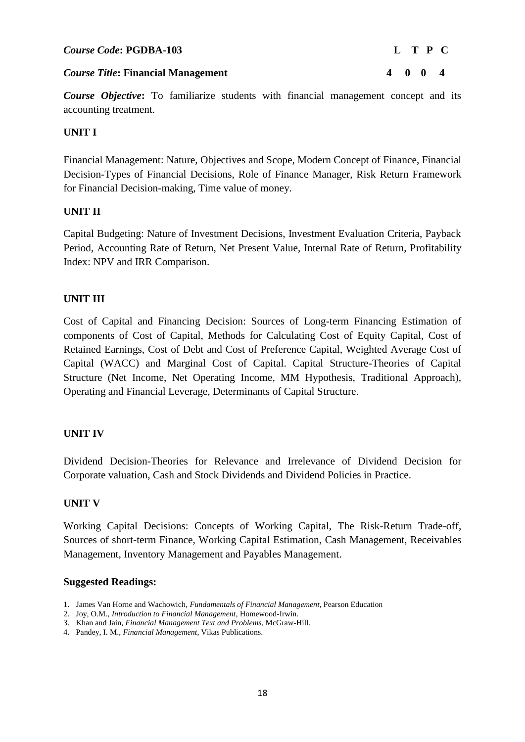#### *Course Code***: PGDBA-103 L T P C**

*Course Objective*: To familiarize students with financial management concept and its accounting treatment.

## **UNIT I**

Financial Management: Nature, Objectives and Scope, Modern Concept of Finance, Financial Decision-Types of Financial Decisions, Role of Finance Manager, Risk Return Framework for Financial Decision-making, Time value of money.

## **UNIT II**

Capital Budgeting: Nature of Investment Decisions, Investment Evaluation Criteria, Payback Period, Accounting Rate of Return, Net Present Value, Internal Rate of Return, Profitability Index: NPV and IRR Comparison.

## **UNIT III**

Cost of Capital and Financing Decision: Sources of Long-term Financing Estimation of components of Cost of Capital, Methods for Calculating Cost of Equity Capital, Cost of Retained Earnings, Cost of Debt and Cost of Preference Capital, Weighted Average Cost of Capital (WACC) and Marginal Cost of Capital. Capital Structure-Theories of Capital Structure (Net Income, Net Operating Income, MM Hypothesis, Traditional Approach), Operating and Financial Leverage, Determinants of Capital Structure.

## **UNIT IV**

Dividend Decision-Theories for Relevance and Irrelevance of Dividend Decision for Corporate valuation, Cash and Stock Dividends and Dividend Policies in Practice.

## **UNIT V**

Working Capital Decisions: Concepts of Working Capital, The Risk-Return Trade-off, Sources of short-term Finance, Working Capital Estimation, Cash Management, Receivables Management, Inventory Management and Payables Management.

- 1. James Van Horne and Wachowich, *Fundamentals of Financial Management*, Pearson Education
- 2. Joy, O.M., *Introduction to Financial Management*, Homewood-Irwin.
- 3. Khan and Jain, *Financial Management Text and Problems*, McGraw-Hill.
- 4. Pandey, I. M., *Financial Management*, Vikas Publications.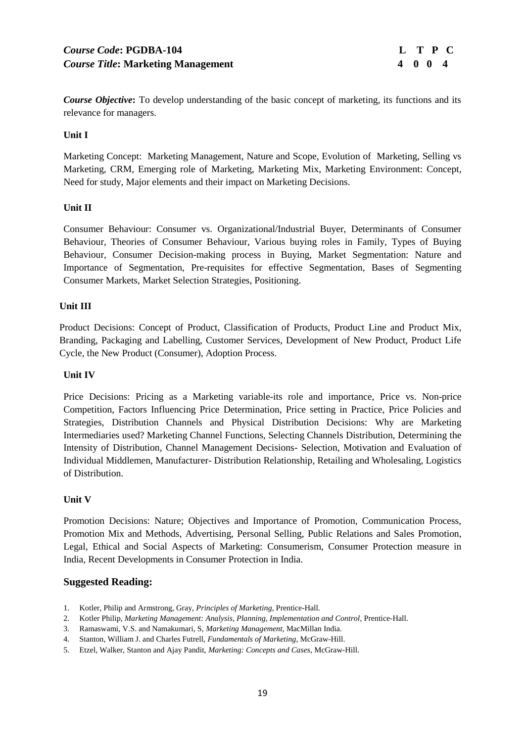*Course Objective***:** To develop understanding of the basic concept of marketing, its functions and its relevance for managers.

#### **Unit I**

Marketing Concept: Marketing Management, Nature and Scope, Evolution of Marketing, Selling vs Marketing, CRM, Emerging role of Marketing, Marketing Mix, Marketing Environment: Concept, Need for study, Major elements and their impact on Marketing Decisions.

#### **Unit II**

Consumer Behaviour: Consumer vs. Organizational/Industrial Buyer, Determinants of Consumer Behaviour, Theories of Consumer Behaviour, Various buying roles in Family, Types of Buying Behaviour, Consumer Decision-making process in Buying, Market Segmentation: Nature and Importance of Segmentation, Pre-requisites for effective Segmentation, Bases of Segmenting Consumer Markets, Market Selection Strategies, Positioning.

#### **Unit III**

Product Decisions: Concept of Product, Classification of Products, Product Line and Product Mix, Branding, Packaging and Labelling, Customer Services, Development of New Product, Product Life Cycle, the New Product (Consumer), Adoption Process.

#### **Unit IV**

Price Decisions: Pricing as a Marketing variable-its role and importance, Price vs. Non-price Competition, Factors Influencing Price Determination, Price setting in Practice, Price Policies and Strategies, Distribution Channels and Physical Distribution Decisions: Why are Marketing Intermediaries used? Marketing Channel Functions, Selecting Channels Distribution, Determining the Intensity of Distribution, Channel Management Decisions- Selection, Motivation and Evaluation of Individual Middlemen, Manufacturer- Distribution Relationship, Retailing and Wholesaling, Logistics of Distribution.

#### **Unit V**

Promotion Decisions: Nature; Objectives and Importance of Promotion, Communication Process, Promotion Mix and Methods, Advertising, Personal Selling, Public Relations and Sales Promotion, Legal, Ethical and Social Aspects of Marketing: Consumerism, Consumer Protection measure in India, Recent Developments in Consumer Protection in India.

- 1. Kotler, Philip and Armstrong, Gray, *Principles of Marketing*, Prentice-Hall.
- 2. Kotler Philip, *Marketing Management: Analysis, Planning, Implementation and Control*, Prentice-Hall.
- 3. Ramaswami, V.S. and Namakumari, S, *Marketing Management*, MacMillan India.
- 4. Stanton, William J. and Charles Futrell, *Fundamentals of Marketing*, McGraw-Hill.
- 5. Etzel, Walker, Stanton and Ajay Pandit, *Marketing: Concepts and Cases*, McGraw-Hill.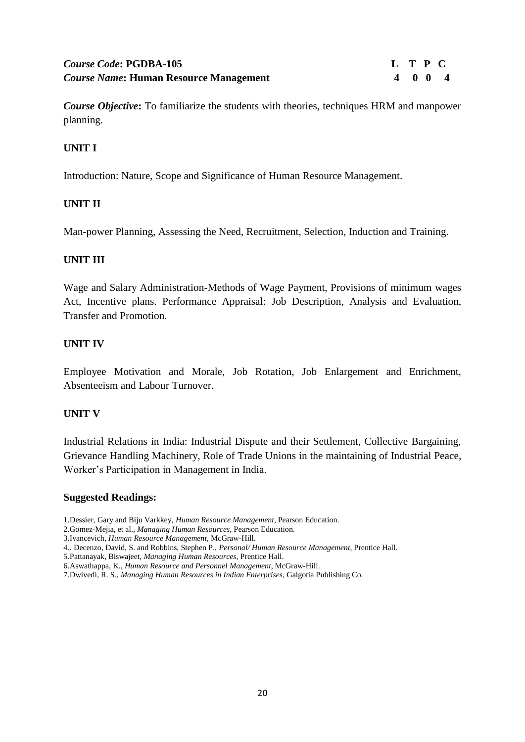# *Course Code***: PGDBA-105 L T P C** *Course Name*: Human Resource Management 4 0 0 4

*Course Objective***:** To familiarize the students with theories, techniques HRM and manpower planning.

# **UNIT I**

Introduction: Nature, Scope and Significance of Human Resource Management.

## **UNIT II**

Man-power Planning, Assessing the Need, Recruitment, Selection, Induction and Training.

## **UNIT III**

Wage and Salary Administration-Methods of Wage Payment, Provisions of minimum wages Act, Incentive plans. Performance Appraisal: Job Description, Analysis and Evaluation, Transfer and Promotion.

#### **UNIT IV**

Employee Motivation and Morale, Job Rotation, Job Enlargement and Enrichment, Absenteeism and Labour Turnover.

#### **UNIT V**

Industrial Relations in India: Industrial Dispute and their Settlement, Collective Bargaining, Grievance Handling Machinery, Role of Trade Unions in the maintaining of Industrial Peace, Worker"s Participation in Management in India.

- 1.Dessier, Gary and Biju Varkkey, *Human Resource Management*, Pearson Education.
- 2.Gomez-Mejia, et al., *Managing Human Resources*, Pearson Education.
- 3.Ivancevich, *Human Resource Management*, McGraw-Hill.
- 4.. Decenzo, David, S. and Robbins, Stephen P., *Personal/ Human Resource Management*, Prentice Hall.
- 5.Pattanayak, Biswajeet, *Managing Human Resources*, Prentice Hall.
- 6.Aswathappa, K., *Human Resource and Personnel Management*, McGraw-Hill.
- 7.Dwivedi, R. S., *Managing Human Resources in Indian Enterprises*, Galgotia Publishing Co.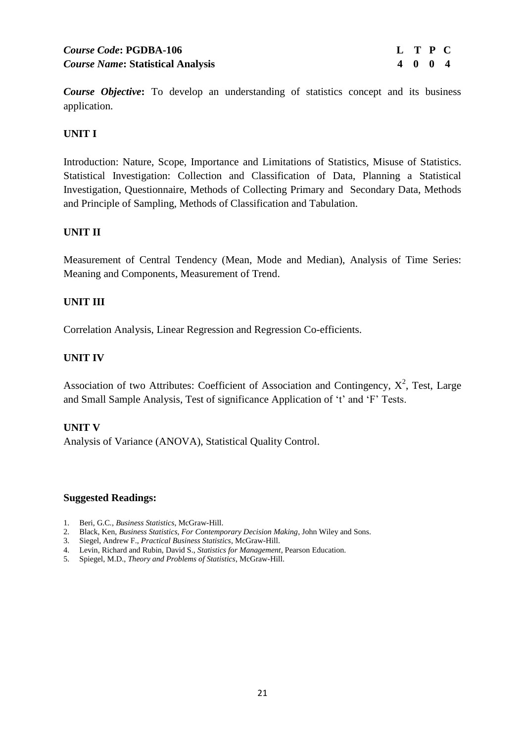*Course Objective*: To develop an understanding of statistics concept and its business application.

## **UNIT I**

Introduction: Nature, Scope, Importance and Limitations of Statistics, Misuse of Statistics. Statistical Investigation: Collection and Classification of Data, Planning a Statistical Investigation, Questionnaire, Methods of Collecting Primary and Secondary Data, Methods and Principle of Sampling, Methods of Classification and Tabulation.

#### **UNIT II**

Measurement of Central Tendency (Mean, Mode and Median), Analysis of Time Series: Meaning and Components, Measurement of Trend.

#### **UNIT III**

Correlation Analysis, Linear Regression and Regression Co-efficients.

#### **UNIT IV**

Association of two Attributes: Coefficient of Association and Contingency,  $X^2$ , Test, Large and Small Sample Analysis, Test of significance Application of 't' and 'F' Tests.

#### **UNIT V**

Analysis of Variance (ANOVA), Statistical Quality Control.

- 1. Beri, G.C*., Business Statistics*, McGraw-Hill.
- 2. Black, Ken, *Business Statistics, For Contemporary Decision Making*, John Wiley and Sons.
- 3. Siegel, Andrew F., *Practical Business Statistics*, McGraw-Hill.
- 4. Levin, Richard and Rubin, David S., *Statistics for Management*, Pearson Education.
- 5. Spiegel, M.D., *Theory and Problems of Statistics*, McGraw-Hill.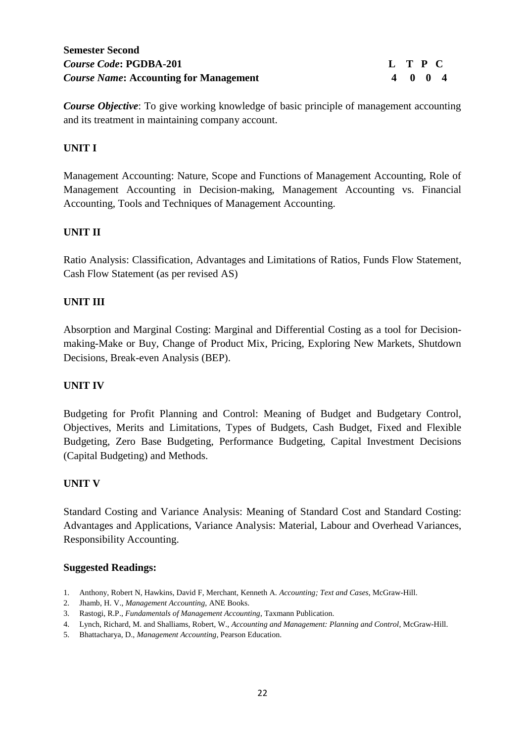*Course Objective*: To give working knowledge of basic principle of management accounting and its treatment in maintaining company account.

# **UNIT I**

Management Accounting: Nature, Scope and Functions of Management Accounting, Role of Management Accounting in Decision-making, Management Accounting vs. Financial Accounting, Tools and Techniques of Management Accounting.

## **UNIT II**

Ratio Analysis: Classification, Advantages and Limitations of Ratios, Funds Flow Statement, Cash Flow Statement (as per revised AS)

## **UNIT III**

Absorption and Marginal Costing: Marginal and Differential Costing as a tool for Decisionmaking-Make or Buy, Change of Product Mix, Pricing, Exploring New Markets, Shutdown Decisions, Break-even Analysis (BEP).

## **UNIT IV**

Budgeting for Profit Planning and Control: Meaning of Budget and Budgetary Control, Objectives, Merits and Limitations, Types of Budgets, Cash Budget, Fixed and Flexible Budgeting, Zero Base Budgeting, Performance Budgeting, Capital Investment Decisions (Capital Budgeting) and Methods.

## **UNIT V**

Standard Costing and Variance Analysis: Meaning of Standard Cost and Standard Costing: Advantages and Applications, Variance Analysis: Material, Labour and Overhead Variances, Responsibility Accounting.

- 1. Anthony, Robert N, Hawkins, David F, Merchant, Kenneth A. *Accounting; Text and Cases*, McGraw-Hill.
- 2. Jhamb, H. V., *Management Accounting*, ANE Books.
- 3. Rastogi, R.P., *Fundamentals of Management Accounting*, Taxmann Publication.
- 4. Lynch, Richard, M. and Shalliams, Robert, W., *Accounting and Management: Planning and Control*, McGraw-Hill.
- 5. Bhattacharya, D., *Management Accounting*, Pearson Education.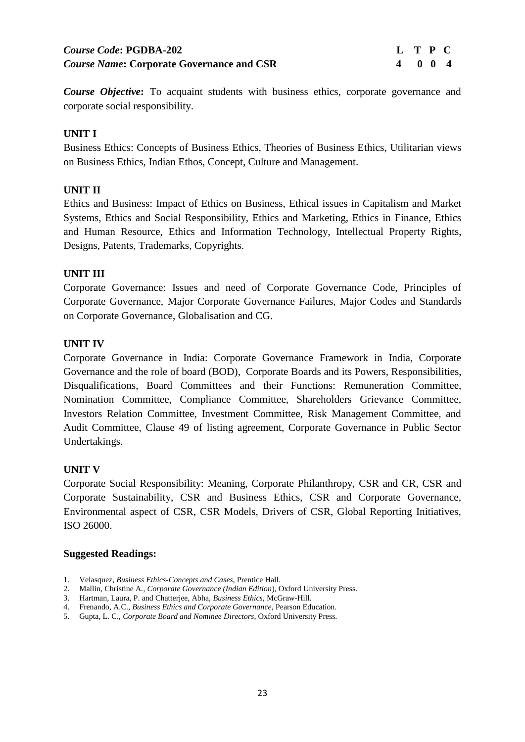# *Course Code***: PGDBA-202 L T P C** *Course Name***: Corporate Governance and CSR 4 0 0 4**

*Course Objective***:** To acquaint students with business ethics, corporate governance and corporate social responsibility.

## **UNIT I**

Business Ethics: Concepts of Business Ethics, Theories of Business Ethics, Utilitarian views on Business Ethics, Indian Ethos, Concept, Culture and Management.

## **UNIT II**

Ethics and Business: Impact of Ethics on Business, Ethical issues in Capitalism and Market Systems, Ethics and Social Responsibility, Ethics and Marketing, Ethics in Finance, Ethics and Human Resource, Ethics and Information Technology, Intellectual Property Rights, Designs, Patents, Trademarks, Copyrights.

## **UNIT III**

Corporate Governance: Issues and need of Corporate Governance Code, Principles of Corporate Governance, Major Corporate Governance Failures, Major Codes and Standards on Corporate Governance, Globalisation and CG.

## **UNIT IV**

Corporate Governance in India: Corporate Governance Framework in India, Corporate Governance and the role of board (BOD), Corporate Boards and its Powers, Responsibilities, Disqualifications, Board Committees and their Functions: Remuneration Committee, Nomination Committee, Compliance Committee, Shareholders Grievance Committee, Investors Relation Committee, Investment Committee, Risk Management Committee, and Audit Committee, Clause 49 of listing agreement, Corporate Governance in Public Sector Undertakings.

## **UNIT V**

Corporate Social Responsibility: Meaning, Corporate Philanthropy, CSR and CR, CSR and Corporate Sustainability, CSR and Business Ethics, CSR and Corporate Governance, Environmental aspect of CSR, CSR Models, Drivers of CSR, Global Reporting Initiatives, ISO 26000.

- 1. Velasquez*, Business Ethics-Concepts and Cases*, Prentice Hall.
- 2. Mallin, Christine A*., Corporate Governance (Indian Edition*), Oxford University Press.
- 3. Hartman, Laura, P. and Chatterjee, Abha, *Business Ethics*, McGraw-Hill.
- 4. Frenando, A.C., *Business Ethics and Corporate Governance*, Pearson Education.
- 5. Gupta, L. C., *Corporate Board and Nominee Directors*, Oxford University Press.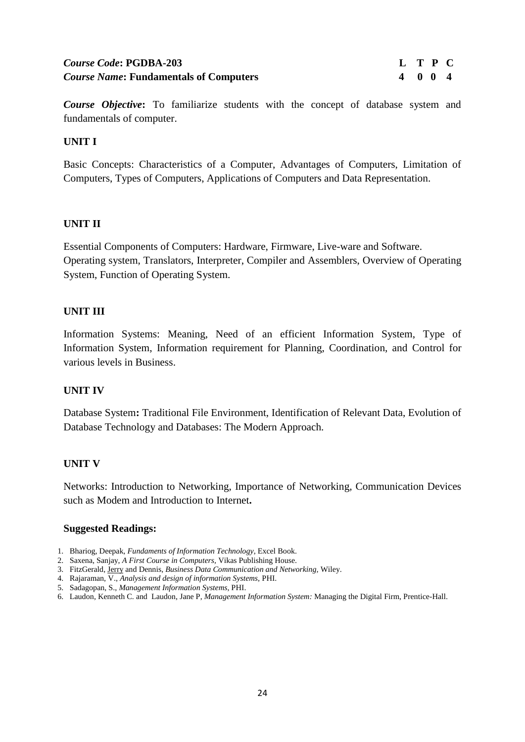# *Course Code***: PGDBA-203 L T P C** *Course Name*: Fundamentals of Computers 4 0 0 4

*Course Objective***:** To familiarize students with the concept of database system and fundamentals of computer.

#### **UNIT I**

Basic Concepts: Characteristics of a Computer, Advantages of Computers, Limitation of Computers, Types of Computers, Applications of Computers and Data Representation.

#### **UNIT II**

Essential Components of Computers: Hardware, Firmware, Live-ware and Software. Operating system, Translators, Interpreter, Compiler and Assemblers, Overview of Operating System, Function of Operating System.

#### **UNIT III**

Information Systems: Meaning, Need of an efficient Information System, Type of Information System, Information requirement for Planning, Coordination, and Control for various levels in Business.

#### **UNIT IV**

Database System**:** Traditional File Environment, Identification of Relevant Data, Evolution of Database Technology and Databases: The Modern Approach.

#### **UNIT V**

Networks: Introduction to Networking, Importance of Networking, Communication Devices such as Modem and Introduction to Internet**.**

- 1. Bhariog, Deepak, *Fundaments of Information Technology*, Excel Book.
- 2. Saxena, Sanjay, *A First Course in Computers,* Vikas Publishing House.
- 3. FitzGerald, [Jerry](http://as.wiley.com/WileyCDA/Section/id-302477.html?query=Jerry+FitzGerald) and Dennis, *Business Data Communication and Networking,* Wiley.
- 4. Rajaraman, V., *Analysis and design of information Systems,* PHI.
- 5. Sadagopan, S., *Management Information Systems,* PHI.
- 6. Laudon, Kenneth C. and Laudon, Jane P, *Management Information System:* Managing the Digital Firm, Prentice-Hall.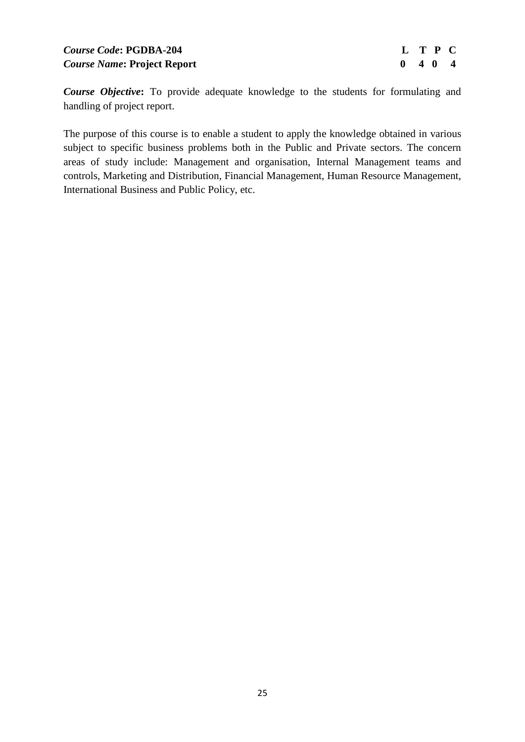# *Course Code***: PGDBA-204 L T P C** *Course Name*: Project Report 0 4 0 4 **0 4**  $\sigma$

*Course Objective***:** To provide adequate knowledge to the students for formulating and handling of project report.

The purpose of this course is to enable a student to apply the knowledge obtained in various subject to specific business problems both in the Public and Private sectors. The concern areas of study include: Management and organisation, Internal Management teams and controls, Marketing and Distribution, Financial Management, Human Resource Management, International Business and Public Policy, etc.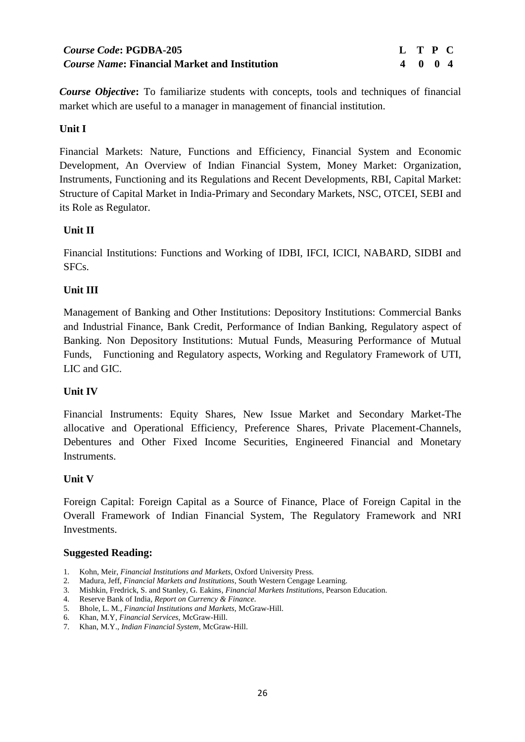# *Course Code***: PGDBA-205 L T P C** *Course Name***: Financial Market and Institution 4 0 0 4**

*Course Objective***:** To familiarize students with concepts, tools and techniques of financial market which are useful to a manager in management of financial institution.

# **Unit I**

Financial Markets: Nature, Functions and Efficiency, Financial System and Economic Development, An Overview of Indian Financial System, Money Market: Organization, Instruments, Functioning and its Regulations and Recent Developments, RBI, Capital Market: Structure of Capital Market in India-Primary and Secondary Markets, NSC, OTCEI, SEBI and its Role as Regulator.

## **Unit II**

Financial Institutions: Functions and Working of IDBI, IFCI, ICICI, NABARD, SIDBI and SFCs.

## **Unit III**

Management of Banking and Other Institutions: Depository Institutions: Commercial Banks and Industrial Finance, Bank Credit, Performance of Indian Banking, Regulatory aspect of Banking. Non Depository Institutions: Mutual Funds, Measuring Performance of Mutual Funds, Functioning and Regulatory aspects, Working and Regulatory Framework of UTI, LIC and GIC.

# **Unit IV**

Financial Instruments: Equity Shares, New Issue Market and Secondary Market-The allocative and Operational Efficiency, Preference Shares, Private Placement-Channels, Debentures and Other Fixed Income Securities, Engineered Financial and Monetary Instruments.

## **Unit V**

Foreign Capital: Foreign Capital as a Source of Finance, Place of Foreign Capital in the Overall Framework of Indian Financial System, The Regulatory Framework and NRI Investments.

- 1. Kohn, Meir, *Financial Institutions and Markets*, Oxford University Press.
- 2. Madura, Jeff, *Financial Markets and Institutions*, South Western Cengage Learning.
- 3. Mishkin, Fredrick, S. and Stanley, G. Eakins*, Financial Markets Institutions*, Pearson Education.
- 4. Reserve Bank of India*, Report on Currency & Finance*.
- 5. Bhole, L. M*., Financial Institutions and Markets,* McGraw-Hill.
- 6. Khan, M.Y, *Financial Services,* McGraw-Hill.
- 7. Khan, M.Y., *Indian Financial System*, McGraw-Hill.